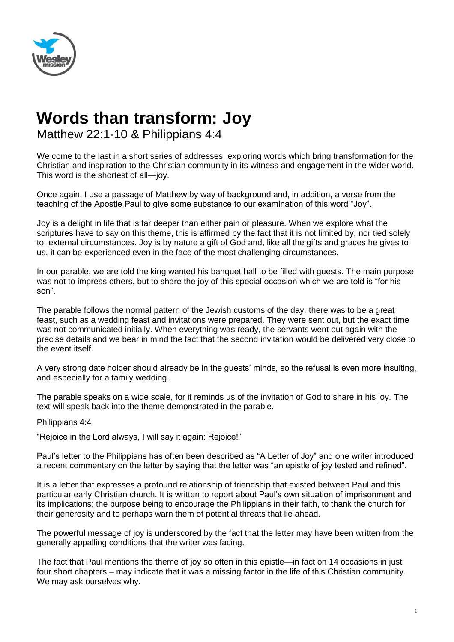

## **Words than transform: Joy**

Matthew 22:1-10 & Philippians 4:4

We come to the last in a short series of addresses, exploring words which bring transformation for the Christian and inspiration to the Christian community in its witness and engagement in the wider world. This word is the shortest of all—joy.

Once again, I use a passage of Matthew by way of background and, in addition, a verse from the teaching of the Apostle Paul to give some substance to our examination of this word "Joy".

Joy is a delight in life that is far deeper than either pain or pleasure. When we explore what the scriptures have to say on this theme, this is affirmed by the fact that it is not limited by, nor tied solely to, external circumstances. Joy is by nature a gift of God and, like all the gifts and graces he gives to us, it can be experienced even in the face of the most challenging circumstances.

In our parable, we are told the king wanted his banquet hall to be filled with guests. The main purpose was not to impress others, but to share the joy of this special occasion which we are told is "for his son".

The parable follows the normal pattern of the Jewish customs of the day: there was to be a great feast, such as a wedding feast and invitations were prepared. They were sent out, but the exact time was not communicated initially. When everything was ready, the servants went out again with the precise details and we bear in mind the fact that the second invitation would be delivered very close to the event itself.

A very strong date holder should already be in the guests' minds, so the refusal is even more insulting, and especially for a family wedding.

The parable speaks on a wide scale, for it reminds us of the invitation of God to share in his joy. The text will speak back into the theme demonstrated in the parable.

Philippians 4:4

"Rejoice in the Lord always, I will say it again: Rejoice!"

Paul's letter to the Philippians has often been described as "A Letter of Joy" and one writer introduced a recent commentary on the letter by saying that the letter was "an epistle of joy tested and refined".

It is a letter that expresses a profound relationship of friendship that existed between Paul and this particular early Christian church. It is written to report about Paul's own situation of imprisonment and its implications; the purpose being to encourage the Philippians in their faith, to thank the church for their generosity and to perhaps warn them of potential threats that lie ahead.

The powerful message of joy is underscored by the fact that the letter may have been written from the generally appalling conditions that the writer was facing.

The fact that Paul mentions the theme of joy so often in this epistle—in fact on 14 occasions in just four short chapters – may indicate that it was a missing factor in the life of this Christian community. We may ask ourselves why.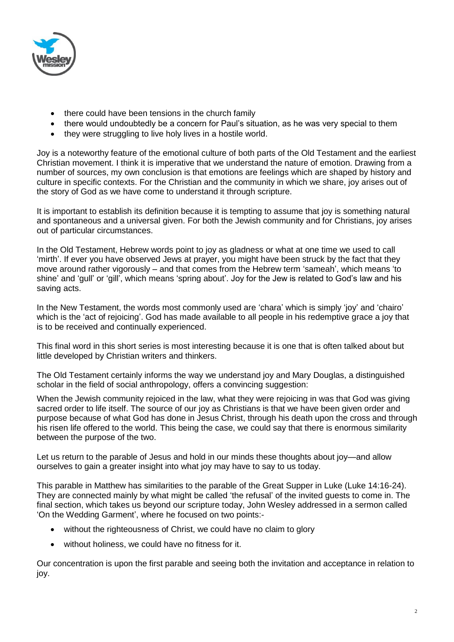

- there could have been tensions in the church family
- there would undoubtedly be a concern for Paul's situation, as he was very special to them
- they were struggling to live holy lives in a hostile world.

Joy is a noteworthy feature of the emotional culture of both parts of the Old Testament and the earliest Christian movement. I think it is imperative that we understand the nature of emotion. Drawing from a number of sources, my own conclusion is that emotions are feelings which are shaped by history and culture in specific contexts. For the Christian and the community in which we share, joy arises out of the story of God as we have come to understand it through scripture.

It is important to establish its definition because it is tempting to assume that joy is something natural and spontaneous and a universal given. For both the Jewish community and for Christians, joy arises out of particular circumstances.

In the Old Testament, Hebrew words point to joy as gladness or what at one time we used to call 'mirth'. If ever you have observed Jews at prayer, you might have been struck by the fact that they move around rather vigorously – and that comes from the Hebrew term 'sameah', which means 'to shine' and 'gull' or 'gill', which means 'spring about'. Joy for the Jew is related to God's law and his saving acts.

In the New Testament, the words most commonly used are 'chara' which is simply 'joy' and 'chairo' which is the 'act of rejoicing'. God has made available to all people in his redemptive grace a joy that is to be received and continually experienced.

This final word in this short series is most interesting because it is one that is often talked about but little developed by Christian writers and thinkers.

The Old Testament certainly informs the way we understand joy and Mary Douglas, a distinguished scholar in the field of social anthropology, offers a convincing suggestion:

When the Jewish community rejoiced in the law, what they were rejoicing in was that God was giving sacred order to life itself. The source of our joy as Christians is that we have been given order and purpose because of what God has done in Jesus Christ, through his death upon the cross and through his risen life offered to the world. This being the case, we could say that there is enormous similarity between the purpose of the two.

Let us return to the parable of Jesus and hold in our minds these thoughts about joy—and allow ourselves to gain a greater insight into what joy may have to say to us today.

This parable in Matthew has similarities to the parable of the Great Supper in Luke (Luke 14:16-24). They are connected mainly by what might be called 'the refusal' of the invited guests to come in. The final section, which takes us beyond our scripture today, John Wesley addressed in a sermon called 'On the Wedding Garment', where he focused on two points:-

- without the righteousness of Christ, we could have no claim to glory
- without holiness, we could have no fitness for it.

Our concentration is upon the first parable and seeing both the invitation and acceptance in relation to joy.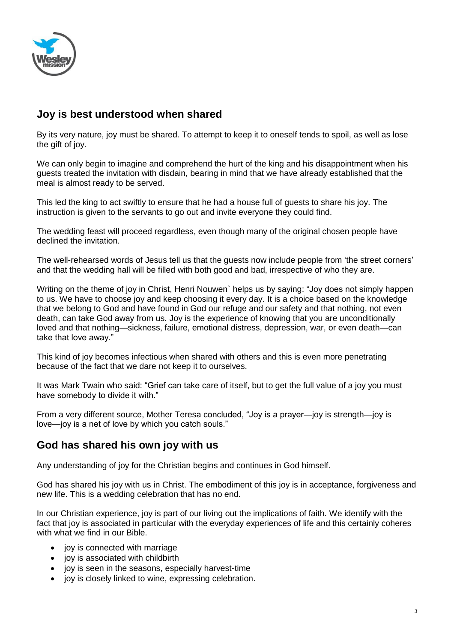

## **Joy is best understood when shared**

By its very nature, joy must be shared. To attempt to keep it to oneself tends to spoil, as well as lose the gift of joy.

We can only begin to imagine and comprehend the hurt of the king and his disappointment when his guests treated the invitation with disdain, bearing in mind that we have already established that the meal is almost ready to be served.

This led the king to act swiftly to ensure that he had a house full of guests to share his joy. The instruction is given to the servants to go out and invite everyone they could find.

The wedding feast will proceed regardless, even though many of the original chosen people have declined the invitation.

The well-rehearsed words of Jesus tell us that the guests now include people from 'the street corners' and that the wedding hall will be filled with both good and bad, irrespective of who they are.

Writing on the theme of joy in Christ, Henri Nouwen` helps us by saying: "Joy does not simply happen to us. We have to choose joy and keep choosing it every day. It is a choice based on the knowledge that we belong to God and have found in God our refuge and our safety and that nothing, not even death, can take God away from us. Joy is the experience of knowing that you are unconditionally loved and that nothing—sickness, failure, emotional distress, depression, war, or even death—can take that love away."

This kind of joy becomes infectious when shared with others and this is even more penetrating because of the fact that we dare not keep it to ourselves.

It was Mark Twain who said: "Grief can take care of itself, but to get the full value of a joy you must have somebody to divide it with."

From a very different source, Mother Teresa concluded, "Joy is a prayer—joy is strength—joy is love—joy is a net of love by which you catch souls."

## **God has shared his own joy with us**

Any understanding of joy for the Christian begins and continues in God himself.

God has shared his joy with us in Christ. The embodiment of this joy is in acceptance, forgiveness and new life. This is a wedding celebration that has no end.

In our Christian experience, joy is part of our living out the implications of faith. We identify with the fact that joy is associated in particular with the everyday experiences of life and this certainly coheres with what we find in our Bible.

- iov is connected with marriage
- joy is associated with childbirth
- joy is seen in the seasons, especially harvest-time
- joy is closely linked to wine, expressing celebration.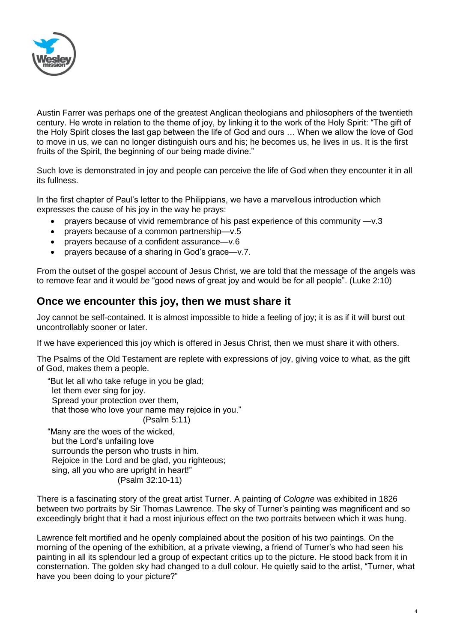

Austin Farrer was perhaps one of the greatest Anglican theologians and philosophers of the twentieth century. He wrote in relation to the theme of joy, by linking it to the work of the Holy Spirit: "The gift of the Holy Spirit closes the last gap between the life of God and ours … When we allow the love of God to move in us, we can no longer distinguish ours and his; he becomes us, he lives in us. It is the first fruits of the Spirit, the beginning of our being made divine."

Such love is demonstrated in joy and people can perceive the life of God when they encounter it in all its fullness.

In the first chapter of Paul's letter to the Philippians, we have a marvellous introduction which expresses the cause of his joy in the way he prays:

- prayers because of vivid remembrance of his past experience of this community —v.3
- prayers because of a common partnership—v.5
- prayers because of a confident assurance—v.6
- prayers because of a sharing in God's grace—v.7.

From the outset of the gospel account of Jesus Christ, we are told that the message of the angels was to remove fear and it would *be* "good news of great joy and would be for all people". (Luke 2:10)

## **Once we encounter this joy, then we must share it**

Joy cannot be self-contained. It is almost impossible to hide a feeling of joy; it is as if it will burst out uncontrollably sooner or later.

If we have experienced this joy which is offered in Jesus Christ, then we must share it with others.

The Psalms of the Old Testament are replete with expressions of joy, giving voice to what, as the gift of God, makes them a people.

"But let all who take refuge in you be glad; let them ever sing for joy. Spread your protection over them, that those who love your name may rejoice in you." (Psalm 5:11) "Many are the woes of the wicked, but the Lord's unfailing love surrounds the person who trusts in him.

Rejoice in the Lord and be glad, you righteous; sing, all you who are upright in heart!"

(Psalm 32:10-11)

There is a fascinating story of the great artist Turner. A painting of *Cologne* was exhibited in 1826 between two portraits by Sir Thomas Lawrence. The sky of Turner's painting was magnificent and so exceedingly bright that it had a most injurious effect on the two portraits between which it was hung.

Lawrence felt mortified and he openly complained about the position of his two paintings. On the morning of the opening of the exhibition, at a private viewing, a friend of Turner's who had seen his painting in all its splendour led a group of expectant critics up to the picture. He stood back from it in consternation. The golden sky had changed to a dull colour. He quietly said to the artist, "Turner, what have you been doing to your picture?"